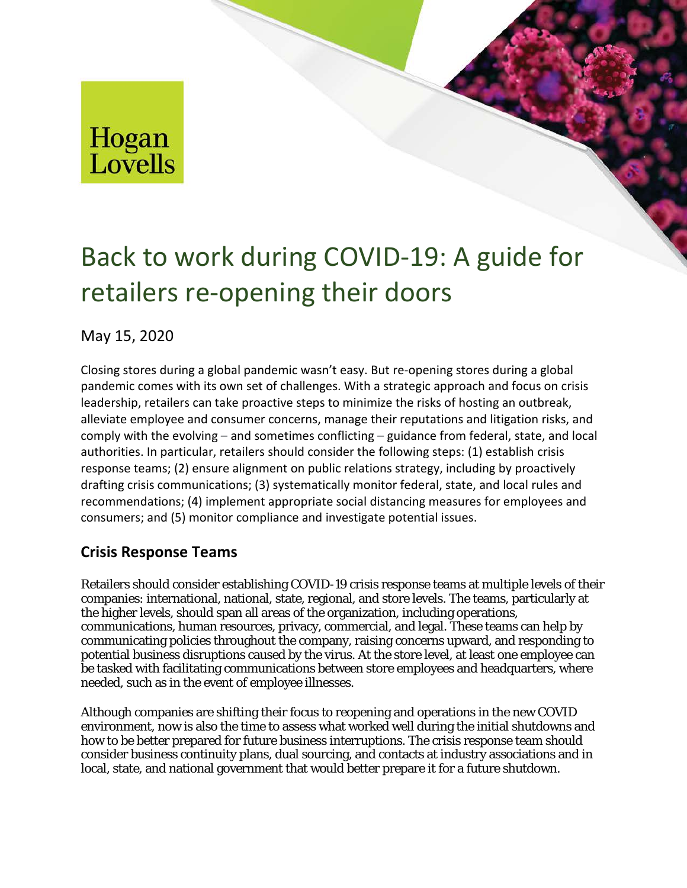# Hogan<br>Lovells

# Back to work during COVID-19: A guide for retailers re-opening their doors

May 15, 2020

Closing stores during a global pandemic wasn't easy. But re-opening stores during a global pandemic comes with its own set of challenges. With a strategic approach and focus on crisis leadership, retailers can take proactive steps to minimize the risks of hosting an outbreak, alleviate employee and consumer concerns, manage their reputations and litigation risks, and comply with the evolving – and sometimes conflicting – guidance from federal, state, and local authorities. In particular, retailers should consider the following steps: (1) establish crisis response teams; (2) ensure alignment on public relations strategy, including by proactively drafting crisis communications; (3) systematically monitor federal, state, and local rules and recommendations; (4) implement appropriate social distancing measures for employees and consumers; and (5) monitor compliance and investigate potential issues.

## **Crisis Response Teams**

Retailers should consider establishing COVID-19 crisis response teams at multiple levels of their companies: international, national, state, regional, and store levels. The teams, particularly at the higher levels, should span all areas of the organization, including operations, communications, human resources, privacy, commercial, and legal. These teams can help by communicating policies throughout the company, raising concerns upward, and responding to potential business disruptions caused by the virus. At the store level, at least one employee can be tasked with facilitating communications between store employees and headquarters, where needed, such as in the event of employee illnesses.

Although companies are shifting their focus to reopening and operations in the new COVID environment, now is also the time to assess what worked well during the initial shutdowns and how to be better prepared for future business interruptions. The crisis response team should consider business continuity plans, dual sourcing, and contacts at industry associations and in local, state, and national government that would better prepare it for a future shutdown.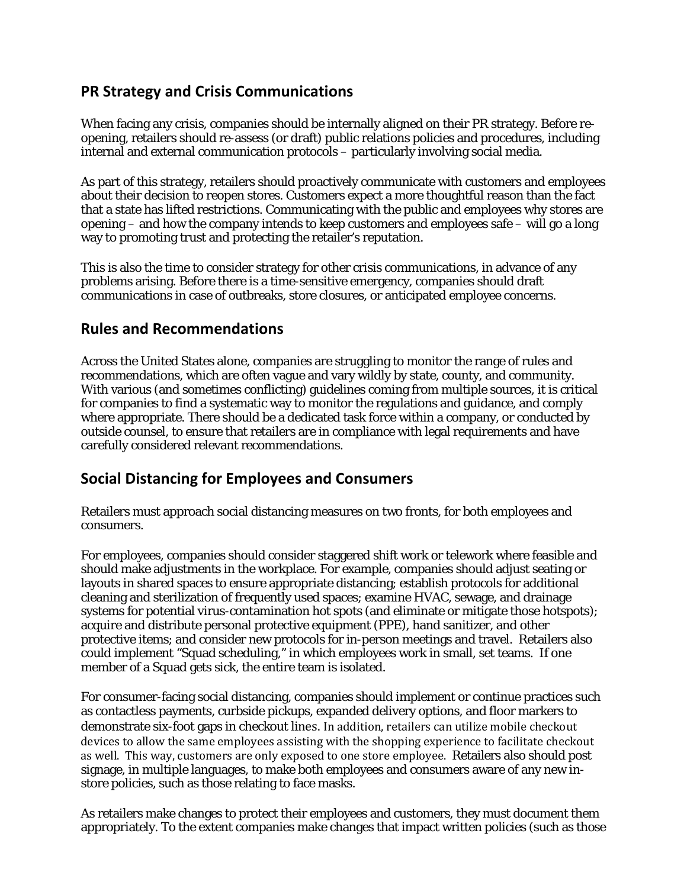### **PR Strategy and Crisis Communications**

When facing any crisis, companies should be internally aligned on their PR strategy. Before reopening, retailers should re-assess (or draft) public relations policies and procedures, including internal and external communication protocols – particularly involving social media.

As part of this strategy, retailers should proactively communicate with customers and employees about their decision to reopen stores. Customers expect a more thoughtful reason than the fact that a state has lifted restrictions. Communicating with the public and employees why stores are opening – and how the company intends to keep customers and employees safe – will go a long way to promoting trust and protecting the retailer's reputation.

This is also the time to consider strategy for other crisis communications, in advance of any problems arising. Before there is a time-sensitive emergency, companies should draft communications in case of outbreaks, store closures, or anticipated employee concerns.

#### **Rules and Recommendations**

Across the United States alone, companies are struggling to monitor the range of rules and recommendations, which are often vague and vary wildly by state, county, and community. With various (and sometimes conflicting) guidelines coming from multiple sources, it is critical for companies to find a systematic way to monitor the regulations and guidance, and comply where appropriate. There should be a dedicated task force within a company, or conducted by outside counsel, to ensure that retailers are in compliance with legal requirements and have carefully considered relevant recommendations.

#### **Social Distancing for Employees and Consumers**

Retailers must approach social distancing measures on two fronts, for both employees and consumers.

For employees, companies should consider staggered shift work or telework where feasible and should make adjustments in the workplace. For example, companies should adjust seating or layouts in shared spaces to ensure appropriate distancing; establish protocols for additional cleaning and sterilization of frequently used spaces; examine HVAC, sewage, and drainage systems for potential virus-contamination hot spots (and eliminate or mitigate those hotspots); acquire and distribute personal protective equipment (PPE), hand sanitizer, and other protective items; and consider new protocols for in-person meetings and travel. Retailers also could implement "Squad scheduling," in which employees work in small, set teams. If one member of a Squad gets sick, the entire team is isolated.

For consumer-facing social distancing, companies should implement or continue practices such as contactless payments, curbside pickups, expanded delivery options, and floor markers to demonstrate six-foot gaps in checkout lines. In addition, retailers can utilize mobile checkout devices to allow the same employees assisting with the shopping experience to facilitate checkout as well. This way, customers are only exposed to one store employee. Retailers also should post signage, in multiple languages, to make both employees and consumers aware of any new instore policies, such as those relating to face masks.

As retailers make changes to protect their employees and customers, they must document them appropriately. To the extent companies make changes that impact written policies (such as those